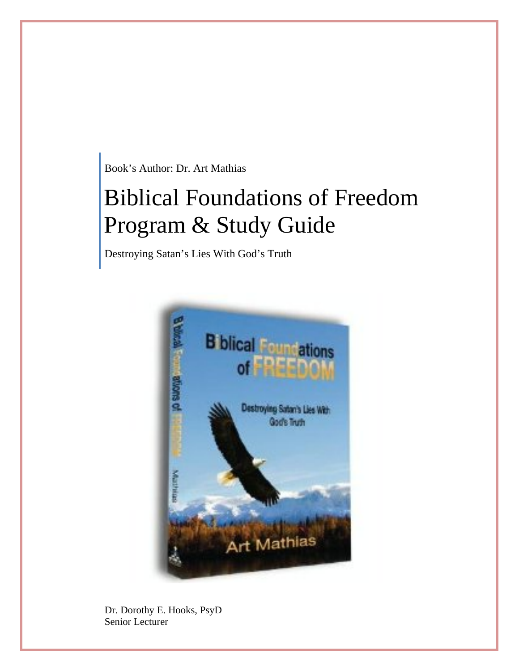Book's Author: Dr. Art Mathias

# Biblical Foundations of Freedom Program & Study Guide

Destroying Satan's Lies With God's Truth



Dr. Dorothy E. Hooks, PsyD Senior Lecturer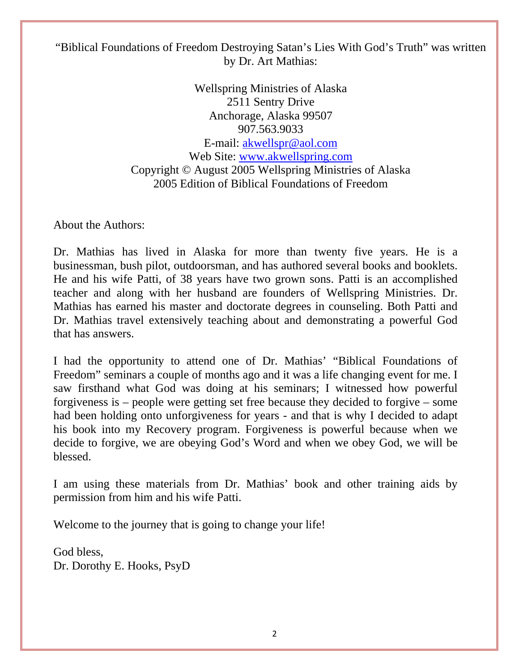"Biblical Foundations of Freedom Destroying Satan's Lies With God's Truth" was written by Dr. Art Mathias:

> Wellspring Ministries of Alaska 2511 Sentry Drive Anchorage, Alaska 99507 907.563.9033 E-mail: [akwellspr@aol.com](mailto:akwellspr@aol.com) Web Site: [www.akwellspring.com](http://www.akwellspring.com/) Copyright © August 2005 Wellspring Ministries of Alaska 2005 Edition of Biblical Foundations of Freedom

About the Authors:

Dr. Mathias has lived in Alaska for more than twenty five years. He is a businessman, bush pilot, outdoorsman, and has authored several books and booklets. He and his wife Patti, of 38 years have two grown sons. Patti is an accomplished teacher and along with her husband are founders of Wellspring Ministries. Dr. Mathias has earned his master and doctorate degrees in counseling. Both Patti and Dr. Mathias travel extensively teaching about and demonstrating a powerful God that has answers.

I had the opportunity to attend one of Dr. Mathias' "Biblical Foundations of Freedom" seminars a couple of months ago and it was a life changing event for me. I saw firsthand what God was doing at his seminars; I witnessed how powerful forgiveness is – people were getting set free because they decided to forgive – some had been holding onto unforgiveness for years - and that is why I decided to adapt his book into my Recovery program. Forgiveness is powerful because when we decide to forgive, we are obeying God's Word and when we obey God, we will be blessed.

I am using these materials from Dr. Mathias' book and other training aids by permission from him and his wife Patti.

Welcome to the journey that is going to change your life!

God bless, Dr. Dorothy E. Hooks, PsyD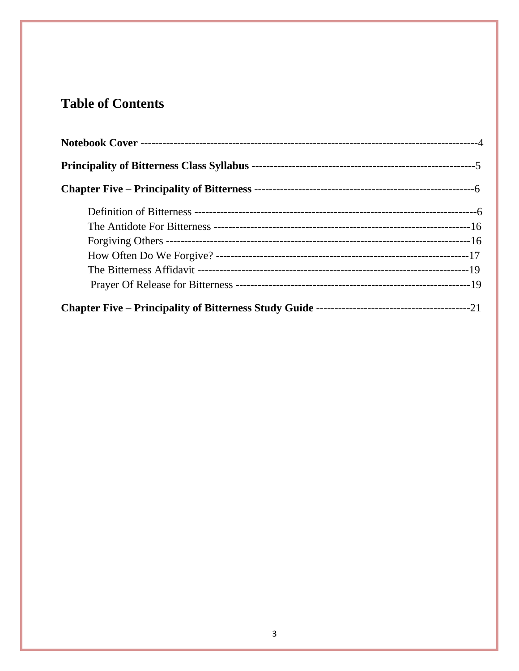# **Table of Contents**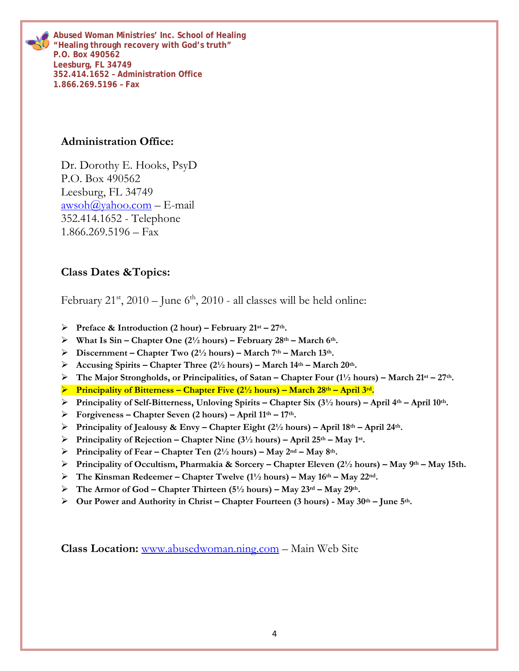

# **Administration Office:**

Dr. Dorothy E. Hooks, PsyD P.O. Box 490562 Leesburg, FL 34749  $awsoh(\partial yahoo.com - E-mail$ 352.414.1652 - Telephone 1.866.269.5196 – Fax

# **Class Dates &Topics:**

February  $21^{st}$ ,  $2010 -$  June  $6^{th}$ ,  $2010 -$  all classes will be held online:

- ¾ **Preface & Introduction (2 hour) February 21st 27th.**
- ¾ **What Is Sin Chapter One (2½ hours) February 28th March 6th.**
- ¾ **Discernment Chapter Two (2½ hours) March 7th March 13th.**
- ¾ **Accusing Spirits Chapter Three (2½ hours) March 14th March 20th.**
- ¾ **The Major Strongholds, or Principalities, of Satan Chapter Four (1½ hours) March 21st 27th.**
- ¾ **Principality of Bitterness Chapter Five (2½ hours) March 28th April 3rd.**
- ¾ **Principality of Self-Bitterness, Unloving Spirits Chapter Six (3½ hours) April 4th April 10th.**
- ¾ **Forgiveness Chapter Seven (2 hours) April 11th 17th.**
- ¾ **Principality of Jealousy & Envy Chapter Eight (2½ hours) April 18th April 24th.**
- ¾ **Principality of Rejection Chapter Nine (3½ hours) April 25th May 1st.**
- ¾ **Principality of Fear Chapter Ten (2½ hours) May 2nd May 8th.**
- ¾ **Principality of Occultism, Pharmakia & Sorcery Chapter Eleven (2½ hours) May 9th May 15th.**
- ¾ **The Kinsman Redeemer Chapter Twelve (1½ hours) May 16th May 22nd.**
- ¾ **The Armor of God Chapter Thirteen (5½ hours) May 23rd May 29th.**
- ¾ **Our Power and Authority in Christ Chapter Fourteen (3 hours) May 30th June 5th.**

**Class Location:** [www.abusedwoman.ning.com](http://www.abusedwoman.ning.com/) – Main Web Site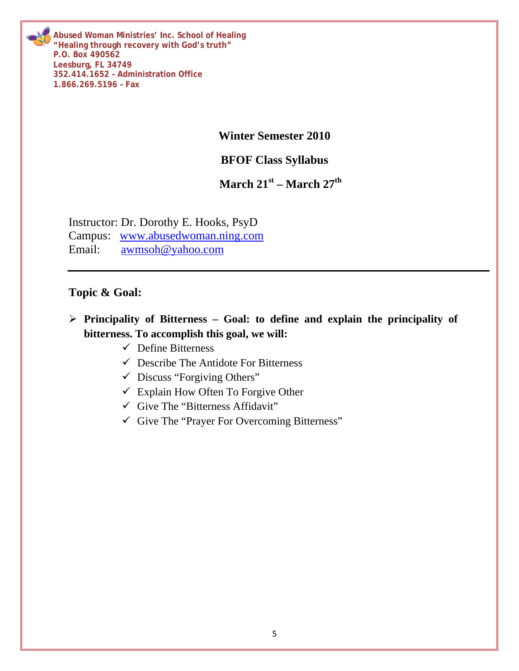**Winter Semester 2010** 

**BFOF Class Syllabus** 

 **March 21st – March 27th** 

Instructor: Dr. Dorothy E. Hooks, PsyD Campus: [www.abusedwoman.ning.com](http://www.abusedwoman.ning.com/) Email: [awmsoh@yahoo.com](mailto:awmsoh@yahoo.com)

# **Topic & Goal:**

- ¾ **Principality of Bitterness Goal: to define and explain the principality of bitterness. To accomplish this goal, we will:** 
	- $\checkmark$  Define Bitterness
	- $\checkmark$  Describe The Antidote For Bitterness
	- $\checkmark$  Discuss "Forgiving Others"
	- $\checkmark$  Explain How Often To Forgive Other
	- $\checkmark$  Give The "Bitterness Affidavit"
	- $\checkmark$  Give The "Prayer For Overcoming Bitterness"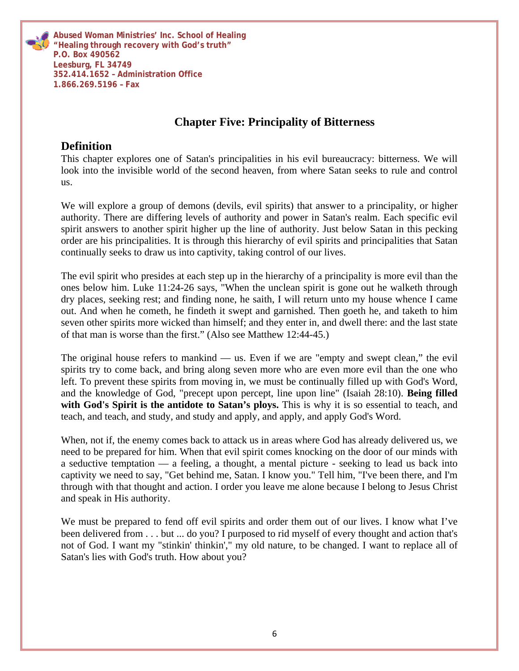

# **Chapter Five: Principality of Bitterness**

# **Definition**

This chapter explores one of Satan's principalities in his evil bureaucracy: bitterness. We will look into the invisible world of the second heaven, from where Satan seeks to rule and control us.

We will explore a group of demons (devils, evil spirits) that answer to a principality, or higher authority. There are differing levels of authority and power in Satan's realm. Each specific evil spirit answers to another spirit higher up the line of authority. Just below Satan in this pecking order are his principalities. It is through this hierarchy of evil spirits and principalities that Satan continually seeks to draw us into captivity, taking control of our lives.

The evil spirit who presides at each step up in the hierarchy of a principality is more evil than the ones below him. Luke 11:24-26 says, "When the unclean spirit is gone out he walketh through dry places, seeking rest; and finding none, he saith, I will return unto my house whence I came out. And when he cometh, he findeth it swept and garnished. Then goeth he, and taketh to him seven other spirits more wicked than himself; and they enter in, and dwell there: and the last state of that man is worse than the first." (Also see Matthew 12:44-45.)

The original house refers to mankind — us. Even if we are "empty and swept clean," the evil spirits try to come back, and bring along seven more who are even more evil than the one who left. To prevent these spirits from moving in, we must be continually filled up with God's Word, and the knowledge of God, "precept upon percept, line upon line" (Isaiah 28:10). **Being filled with God's Spirit is the antidote to Satan's ploys.** This is why it is so essential to teach, and teach, and teach, and study, and study and apply, and apply, and apply God's Word.

When, not if, the enemy comes back to attack us in areas where God has already delivered us, we need to be prepared for him. When that evil spirit comes knocking on the door of our minds with a seductive temptation — a feeling, a thought, a mental picture - seeking to lead us back into captivity we need to say, "Get behind me, Satan. I know you." Tell him, "I've been there, and I'm through with that thought and action. I order you leave me alone because I belong to Jesus Christ and speak in His authority.

We must be prepared to fend off evil spirits and order them out of our lives. I know what I've been delivered from . . . but ... do you? I purposed to rid myself of every thought and action that's not of God. I want my "stinkin' thinkin'," my old nature, to be changed. I want to replace all of Satan's lies with God's truth. How about you?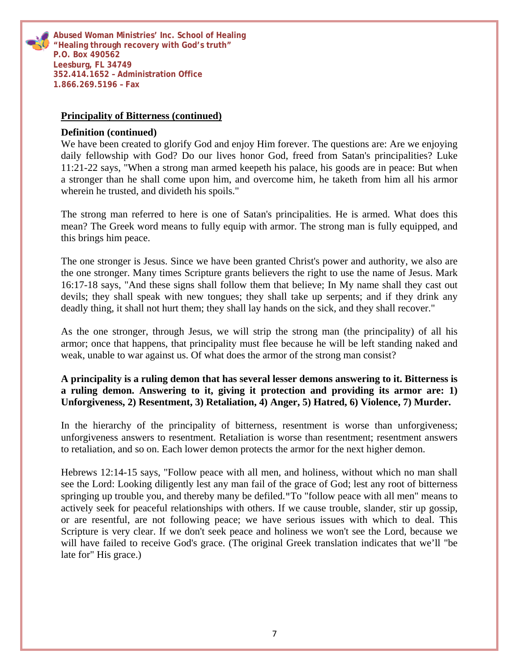

#### **Principality of Bitterness (continued)**

#### **Definition (continued)**

We have been created to glorify God and enjoy Him forever. The questions are: Are we enjoying daily fellowship with God? Do our lives honor God, freed from Satan's principalities? Luke 11:21-22 says, "When a strong man armed keepeth his palace, his goods are in peace: But when a stronger than he shall come upon him, and overcome him, he taketh from him all his armor wherein he trusted, and divideth his spoils."

The strong man referred to here is one of Satan's principalities. He is armed. What does this mean? The Greek word means to fully equip with armor. The strong man is fully equipped, and this brings him peace.

The one stronger is Jesus. Since we have been granted Christ's power and authority, we also are the one stronger. Many times Scripture grants believers the right to use the name of Jesus. Mark 16:17-18 says, "And these signs shall follow them that believe; In My name shall they cast out devils; they shall speak with new tongues; they shall take up serpents; and if they drink any deadly thing, it shall not hurt them; they shall lay hands on the sick, and they shall recover."

As the one stronger, through Jesus, we will strip the strong man (the principality) of all his armor; once that happens, that principality must flee because he will be left standing naked and weak, unable to war against us. Of what does the armor of the strong man consist?

**A principality is a ruling demon that has several lesser demons answering to it. Bitterness is a ruling demon. Answering to it, giving it protection and providing its armor are: 1) Unforgiveness, 2) Resentment, 3) Retaliation, 4) Anger, 5) Hatred, 6) Violence, 7) Murder.** 

In the hierarchy of the principality of bitterness, resentment is worse than unforgiveness; unforgiveness answers to resentment. Retaliation is worse than resentment; resentment answers to retaliation, and so on. Each lower demon protects the armor for the next higher demon.

Hebrews 12:14-15 says, "Follow peace with all men, and holiness, without which no man shall see the Lord: Looking diligently lest any man fail of the grace of God; lest any root of bitterness springing up trouble you, and thereby many be defiled."To "follow peace with all men" means to actively seek for peaceful relationships with others. If we cause trouble, slander, stir up gossip, or are resentful, are not following peace; we have serious issues with which to deal. This Scripture is very clear. If we don't seek peace and holiness we won't see the Lord, because we will have failed to receive God's grace. (The original Greek translation indicates that we'll "be late for" His grace.)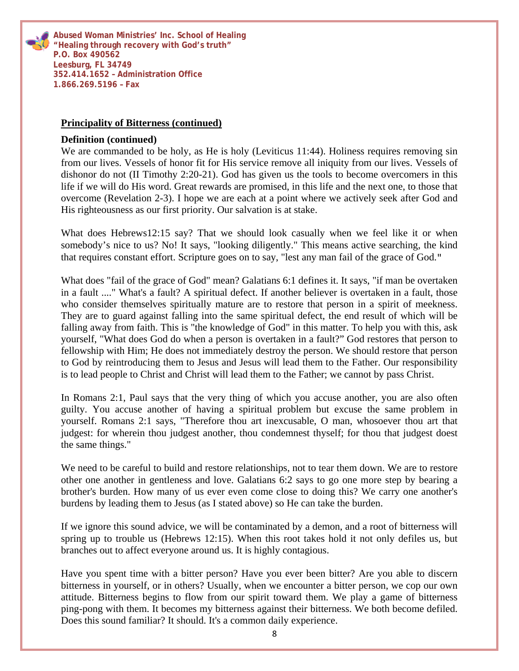

#### **Principality of Bitterness (continued)**

#### **Definition (continued)**

We are commanded to be holy, as He is holy (Leviticus 11:44). Holiness requires removing sin from our lives. Vessels of honor fit for His service remove all iniquity from our lives. Vessels of dishonor do not (II Timothy 2:20-21). God has given us the tools to become overcomers in this life if we will do His word. Great rewards are promised, in this life and the next one, to those that overcome (Revelation 2-3). I hope we are each at a point where we actively seek after God and His righteousness as our first priority. Our salvation is at stake.

What does Hebrews12:15 say? That we should look casually when we feel like it or when somebody's nice to us? No! It says, "looking diligently." This means active searching, the kind that requires constant effort. Scripture goes on to say, "lest any man fail of the grace of God."

What does "fail of the grace of God" mean? Galatians 6:1 defines it. It says, "if man be overtaken in a fault ...." What's a fault? A spiritual defect. If another believer is overtaken in a fault, those who consider themselves spiritually mature are to restore that person in a spirit of meekness. They are to guard against falling into the same spiritual defect, the end result of which will be falling away from faith. This is "the knowledge of God" in this matter. To help you with this, ask yourself, "What does God do when a person is overtaken in a fault?" God restores that person to fellowship with Him; He does not immediately destroy the person. We should restore that person to God by reintroducing them to Jesus and Jesus will lead them to the Father. Our responsibility is to lead people to Christ and Christ will lead them to the Father; we cannot by pass Christ.

In Romans 2:1, Paul says that the very thing of which you accuse another, you are also often guilty. You accuse another of having a spiritual problem but excuse the same problem in yourself. Romans 2:1 says, "Therefore thou art inexcusable, O man, whosoever thou art that judgest: for wherein thou judgest another, thou condemnest thyself; for thou that judgest doest the same things."

We need to be careful to build and restore relationships, not to tear them down. We are to restore other one another in gentleness and love. Galatians 6:2 says to go one more step by bearing a brother's burden. How many of us ever even come close to doing this? We carry one another's burdens by leading them to Jesus (as I stated above) so He can take the burden.

If we ignore this sound advice, we will be contaminated by a demon, and a root of bitterness will spring up to trouble us (Hebrews 12:15). When this root takes hold it not only defiles us, but branches out to affect everyone around us. It is highly contagious.

Have you spent time with a bitter person? Have you ever been bitter? Are you able to discern bitterness in yourself, or in others? Usually, when we encounter a bitter person, we cop our own attitude. Bitterness begins to flow from our spirit toward them. We play a game of bitterness ping-pong with them. It becomes my bitterness against their bitterness. We both become defiled. Does this sound familiar? It should. It's a common daily experience.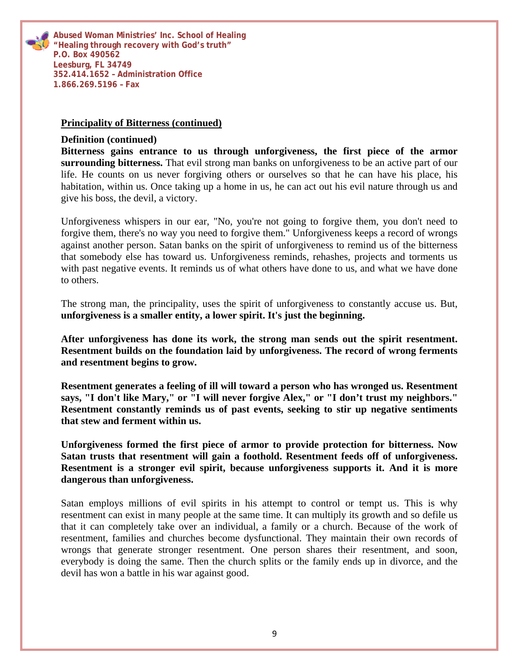

#### **Principality of Bitterness (continued)**

#### **Definition (continued)**

**Bitterness gains entrance to us through unforgiveness, the first piece of the armor surrounding bitterness.** That evil strong man banks on unforgiveness to be an active part of our life. He counts on us never forgiving others or ourselves so that he can have his place, his habitation, within us. Once taking up a home in us, he can act out his evil nature through us and give his boss, the devil, a victory.

Unforgiveness whispers in our ear, "No, you're not going to forgive them, you don't need to forgive them, there's no way you need to forgive them." Unforgiveness keeps a record of wrongs against another person. Satan banks on the spirit of unforgiveness to remind us of the bitterness that somebody else has toward us. Unforgiveness reminds, rehashes, projects and torments us with past negative events. It reminds us of what others have done to us, and what we have done to others.

The strong man, the principality, uses the spirit of unforgiveness to constantly accuse us. But, **unforgiveness is a smaller entity, a lower spirit. It's just the beginning.**

**After unforgiveness has done its work, the strong man sends out the spirit resentment. Resentment builds on the foundation laid by unforgiveness. The record of wrong ferments and resentment begins to grow.** 

**Resentment generates a feeling of ill will toward a person who has wronged us. Resentment says, "I don't like Mary," or "I will never forgive Alex," or "I don't trust my neighbors." Resentment constantly reminds us of past events, seeking to stir up negative sentiments that stew and ferment within us.** 

**Unforgiveness formed the first piece of armor to provide protection for bitterness. Now Satan trusts that resentment will gain a foothold. Resentment feeds off of unforgiveness. Resentment is a stronger evil spirit, because unforgiveness supports it. And it is more dangerous than unforgiveness.** 

Satan employs millions of evil spirits in his attempt to control or tempt us. This is why resentment can exist in many people at the same time. It can multiply its growth and so defile us that it can completely take over an individual, a family or a church. Because of the work of resentment, families and churches become dysfunctional. They maintain their own records of wrongs that generate stronger resentment. One person shares their resentment, and soon, everybody is doing the same. Then the church splits or the family ends up in divorce, and the devil has won a battle in his war against good.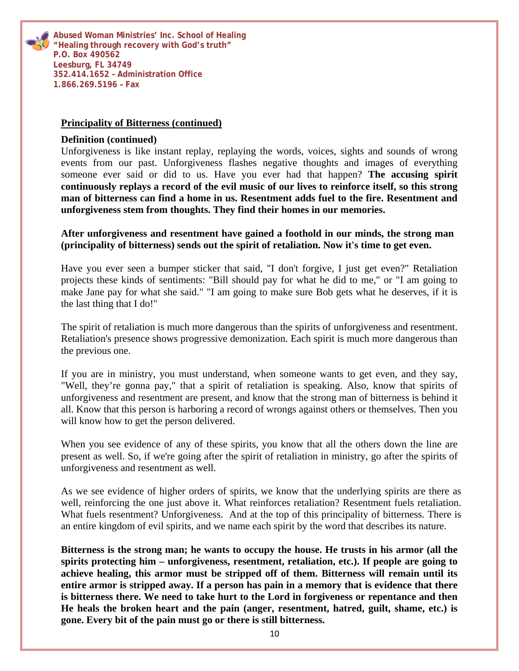

#### **Principality of Bitterness (continued)**

#### **Definition (continued)**

Unforgiveness is like instant replay, replaying the words, voices, sights and sounds of wrong events from our past. Unforgiveness flashes negative thoughts and images of everything someone ever said or did to us. Have you ever had that happen? **The accusing spirit continuously replays a record of the evil music of our lives to reinforce itself, so this strong man of bitterness can find a home in us. Resentment adds fuel to the fire. Resentment and unforgiveness stem from thoughts. They find their homes in our memories.** 

**After unforgiveness and resentment have gained a foothold in our minds, the strong man (principality of bitterness) sends out the spirit of retaliation. Now it's time to get even.** 

Have you ever seen a bumper sticker that said, "I don't forgive, I just get even?" Retaliation projects these kinds of sentiments: "Bill should pay for what he did to me," or "I am going to make Jane pay for what she said." "I am going to make sure Bob gets what he deserves, if it is the last thing that I do!"

The spirit of retaliation is much more dangerous than the spirits of unforgiveness and resentment. Retaliation's presence shows progressive demonization. Each spirit is much more dangerous than the previous one.

If you are in ministry, you must understand, when someone wants to get even, and they say, "Well, they're gonna pay," that a spirit of retaliation is speaking. Also, know that spirits of unforgiveness and resentment are present, and know that the strong man of bitterness is behind it all. Know that this person is harboring a record of wrongs against others or themselves. Then you will know how to get the person delivered.

When you see evidence of any of these spirits, you know that all the others down the line are present as well. So, if we're going after the spirit of retaliation in ministry, go after the spirits of unforgiveness and resentment as well.

As we see evidence of higher orders of spirits, we know that the underlying spirits are there as well, reinforcing the one just above it. What reinforces retaliation? Resentment fuels retaliation. What fuels resentment? Unforgiveness. And at the top of this principality of bitterness. There is an entire kingdom of evil spirits, and we name each spirit by the word that describes its nature.

**Bitterness is the strong man; he wants to occupy the house. He trusts in his armor (all the spirits protecting him – unforgiveness, resentment, retaliation, etc.). If people are going to achieve healing, this armor must be stripped off of them. Bitterness will remain until its entire armor is stripped away. If a person has pain in a memory that is evidence that there is bitterness there. We need to take hurt to the Lord in forgiveness or repentance and then He heals the broken heart and the pain (anger, resentment, hatred, guilt, shame, etc.) is gone. Every bit of the pain must go or there is still bitterness.**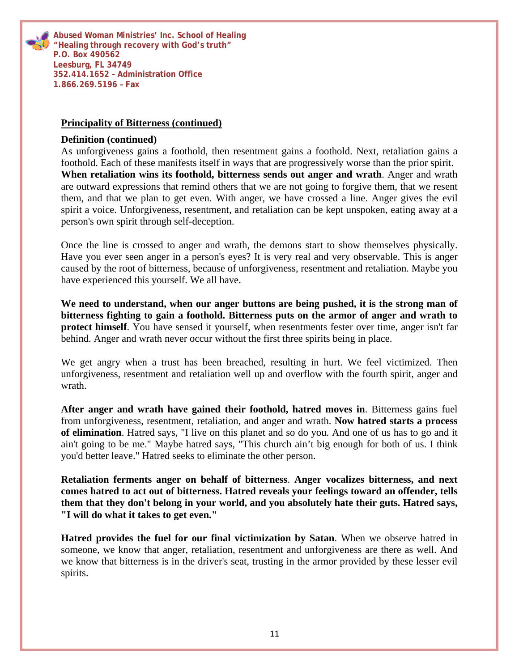

#### **Principality of Bitterness (continued)**

#### **Definition (continued)**

As unforgiveness gains a foothold, then resentment gains a foothold. Next, retaliation gains a foothold. Each of these manifests itself in ways that are progressively worse than the prior spirit. **When retaliation wins its foothold, bitterness sends out anger and wrath**. Anger and wrath are outward expressions that remind others that we are not going to forgive them, that we resent them, and that we plan to get even. With anger, we have crossed a line. Anger gives the evil spirit a voice. Unforgiveness, resentment, and retaliation can be kept unspoken, eating away at a person's own spirit through self-deception.

Once the line is crossed to anger and wrath, the demons start to show themselves physically. Have you ever seen anger in a person's eyes? It is very real and very observable. This is anger caused by the root of bitterness, because of unforgiveness, resentment and retaliation. Maybe you have experienced this yourself. We all have.

**We need to understand, when our anger buttons are being pushed, it is the strong man of bitterness fighting to gain a foothold. Bitterness puts on the armor of anger and wrath to protect himself**. You have sensed it yourself, when resentments fester over time, anger isn't far behind. Anger and wrath never occur without the first three spirits being in place.

We get angry when a trust has been breached, resulting in hurt. We feel victimized. Then unforgiveness, resentment and retaliation well up and overflow with the fourth spirit, anger and wrath.

**After anger and wrath have gained their foothold, hatred moves in**. Bitterness gains fuel from unforgiveness, resentment, retaliation, and anger and wrath. **Now hatred starts a process of elimination**. Hatred says, "I live on this planet and so do you. And one of us has to go and it ain't going to be me." Maybe hatred says, "This church ain't big enough for both of us. I think you'd better leave." Hatred seeks to eliminate the other person.

**Retaliation ferments anger on behalf of bitterness**. **Anger vocalizes bitterness, and next comes hatred to act out of bitterness. Hatred reveals your feelings toward an offender, tells them that they don't belong in your world, and you absolutely hate their guts. Hatred says, "I will do what it takes to get even."** 

**Hatred provides the fuel for our final victimization by Satan**. When we observe hatred in someone, we know that anger, retaliation, resentment and unforgiveness are there as well. And we know that bitterness is in the driver's seat, trusting in the armor provided by these lesser evil spirits.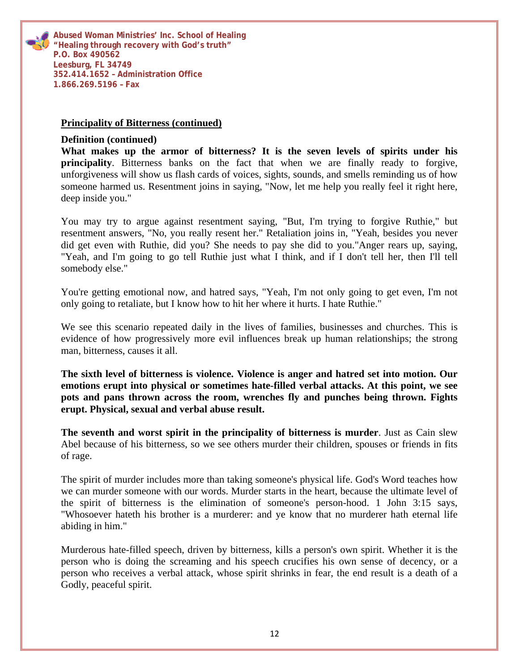

#### **Principality of Bitterness (continued)**

#### **Definition (continued)**

**What makes up the armor of bitterness? It is the seven levels of spirits under his principality**. Bitterness banks on the fact that when we are finally ready to forgive, unforgiveness will show us flash cards of voices, sights, sounds, and smells reminding us of how someone harmed us. Resentment joins in saying, "Now, let me help you really feel it right here, deep inside you."

You may try to argue against resentment saying, "But, I'm trying to forgive Ruthie," but resentment answers, "No, you really resent her." Retaliation joins in, "Yeah, besides you never did get even with Ruthie, did you? She needs to pay she did to you."Anger rears up, saying, "Yeah, and I'm going to go tell Ruthie just what I think, and if I don't tell her, then I'll tell somebody else."

You're getting emotional now, and hatred says, "Yeah, I'm not only going to get even, I'm not only going to retaliate, but I know how to hit her where it hurts. I hate Ruthie."

We see this scenario repeated daily in the lives of families, businesses and churches. This is evidence of how progressively more evil influences break up human relationships; the strong man, bitterness, causes it all.

**The sixth level of bitterness is violence. Violence is anger and hatred set into motion. Our emotions erupt into physical or sometimes hate-filled verbal attacks. At this point, we see pots and pans thrown across the room, wrenches fly and punches being thrown. Fights erupt. Physical, sexual and verbal abuse result.** 

**The seventh and worst spirit in the principality of bitterness is murder**. Just as Cain slew Abel because of his bitterness, so we see others murder their children, spouses or friends in fits of rage.

The spirit of murder includes more than taking someone's physical life. God's Word teaches how we can murder someone with our words. Murder starts in the heart, because the ultimate level of the spirit of bitterness is the elimination of someone's person-hood. 1 John 3:15 says, "Whosoever hateth his brother is a murderer: and ye know that no murderer hath eternal life abiding in him."

Murderous hate-filled speech, driven by bitterness, kills a person's own spirit. Whether it is the person who is doing the screaming and his speech crucifies his own sense of decency, or a person who receives a verbal attack, whose spirit shrinks in fear, the end result is a death of a Godly, peaceful spirit.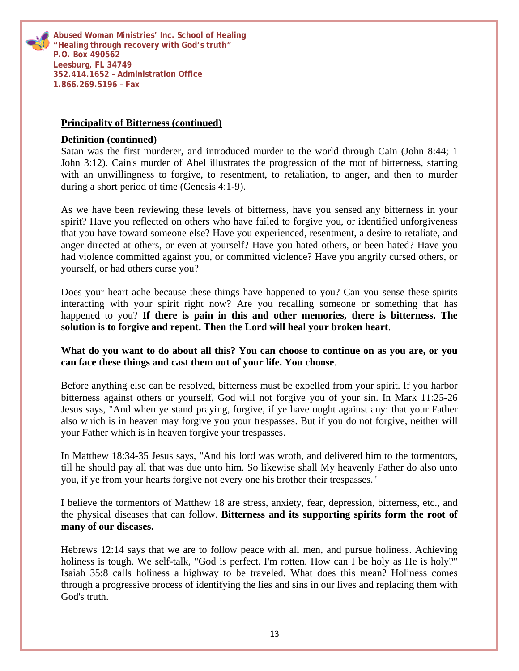

#### **Principality of Bitterness (continued)**

#### **Definition (continued)**

Satan was the first murderer, and introduced murder to the world through Cain (John 8:44; 1 John 3:12). Cain's murder of Abel illustrates the progression of the root of bitterness, starting with an unwillingness to forgive, to resentment, to retaliation, to anger, and then to murder during a short period of time (Genesis 4:1-9).

As we have been reviewing these levels of bitterness, have you sensed any bitterness in your spirit? Have you reflected on others who have failed to forgive you, or identified unforgiveness that you have toward someone else? Have you experienced, resentment, a desire to retaliate, and anger directed at others, or even at yourself? Have you hated others, or been hated? Have you had violence committed against you, or committed violence? Have you angrily cursed others, or yourself, or had others curse you?

Does your heart ache because these things have happened to you? Can you sense these spirits interacting with your spirit right now? Are you recalling someone or something that has happened to you? **If there is pain in this and other memories, there is bitterness. The solution is to forgive and repent. Then the Lord will heal your broken heart**.

#### **What do you want to do about all this? You can choose to continue on as you are, or you can face these things and cast them out of your life. You choose**.

Before anything else can be resolved, bitterness must be expelled from your spirit. If you harbor bitterness against others or yourself, God will not forgive you of your sin. In Mark 11:25-26 Jesus says, "And when ye stand praying, forgive, if ye have ought against any: that your Father also which is in heaven may forgive you your trespasses. But if you do not forgive, neither will your Father which is in heaven forgive your trespasses.

In Matthew 18:34-35 Jesus says, "And his lord was wroth, and delivered him to the tormentors, till he should pay all that was due unto him. So likewise shall My heavenly Father do also unto you, if ye from your hearts forgive not every one his brother their trespasses."

I believe the tormentors of Matthew 18 are stress, anxiety, fear, depression, bitterness, etc., and the physical diseases that can follow. **Bitterness and its supporting spirits form the root of many of our diseases.** 

Hebrews 12:14 says that we are to follow peace with all men, and pursue holiness. Achieving holiness is tough. We self-talk, "God is perfect. I'm rotten. How can I be holy as He is holy?" Isaiah 35:8 calls holiness a highway to be traveled. What does this mean? Holiness comes through a progressive process of identifying the lies and sins in our lives and replacing them with God's truth.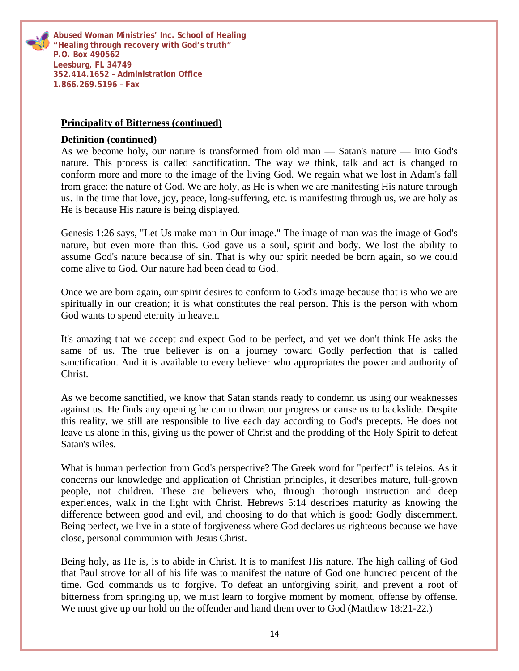

#### **Principality of Bitterness (continued)**

#### **Definition (continued)**

As we become holy, our nature is transformed from old man — Satan's nature — into God's nature. This process is called sanctification. The way we think, talk and act is changed to conform more and more to the image of the living God. We regain what we lost in Adam's fall from grace: the nature of God. We are holy, as He is when we are manifesting His nature through us. In the time that love, joy, peace, long-suffering, etc. is manifesting through us, we are holy as He is because His nature is being displayed.

Genesis 1:26 says, "Let Us make man in Our image." The image of man was the image of God's nature, but even more than this. God gave us a soul, spirit and body. We lost the ability to assume God's nature because of sin. That is why our spirit needed be born again, so we could come alive to God. Our nature had been dead to God.

Once we are born again, our spirit desires to conform to God's image because that is who we are spiritually in our creation; it is what constitutes the real person. This is the person with whom God wants to spend eternity in heaven.

It's amazing that we accept and expect God to be perfect, and yet we don't think He asks the same of us. The true believer is on a journey toward Godly perfection that is called sanctification. And it is available to every believer who appropriates the power and authority of Christ.

As we become sanctified, we know that Satan stands ready to condemn us using our weaknesses against us. He finds any opening he can to thwart our progress or cause us to backslide. Despite this reality, we still are responsible to live each day according to God's precepts. He does not leave us alone in this, giving us the power of Christ and the prodding of the Holy Spirit to defeat Satan's wiles.

What is human perfection from God's perspective? The Greek word for "perfect" is teleios. As it concerns our knowledge and application of Christian principles, it describes mature, full-grown people, not children. These are believers who, through thorough instruction and deep experiences, walk in the light with Christ. Hebrews 5:14 describes maturity as knowing the difference between good and evil, and choosing to do that which is good: Godly discernment. Being perfect, we live in a state of forgiveness where God declares us righteous because we have close, personal communion with Jesus Christ.

Being holy, as He is, is to abide in Christ. It is to manifest His nature. The high calling of God that Paul strove for all of his life was to manifest the nature of God one hundred percent of the time. God commands us to forgive. To defeat an unforgiving spirit, and prevent a root of bitterness from springing up, we must learn to forgive moment by moment, offense by offense. We must give up our hold on the offender and hand them over to God (Matthew 18:21-22.)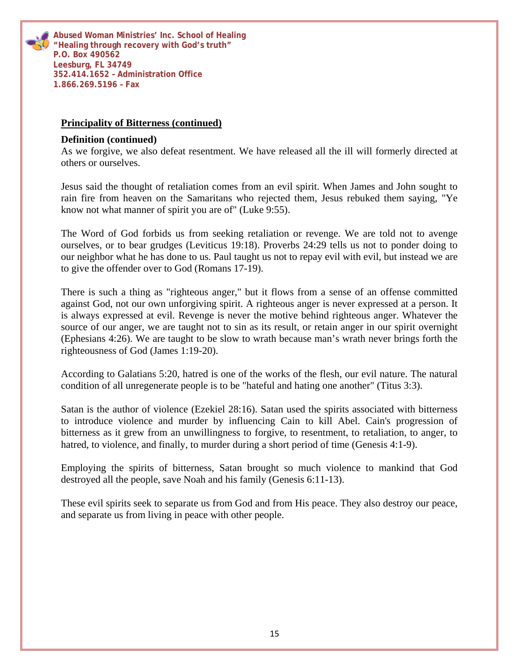

#### **Principality of Bitterness (continued)**

#### **Definition (continued)**

As we forgive, we also defeat resentment. We have released all the ill will formerly directed at others or ourselves.

Jesus said the thought of retaliation comes from an evil spirit. When James and John sought to rain fire from heaven on the Samaritans who rejected them, Jesus rebuked them saying, "Ye know not what manner of spirit you are of" (Luke 9:55).

The Word of God forbids us from seeking retaliation or revenge. We are told not to avenge ourselves, or to bear grudges (Leviticus 19:18). Proverbs 24:29 tells us not to ponder doing to our neighbor what he has done to us. Paul taught us not to repay evil with evil, but instead we are to give the offender over to God (Romans 17-19).

There is such a thing as "righteous anger," but it flows from a sense of an offense committed against God, not our own unforgiving spirit. A righteous anger is never expressed at a person. It is always expressed at evil. Revenge is never the motive behind righteous anger. Whatever the source of our anger, we are taught not to sin as its result, or retain anger in our spirit overnight (Ephesians 4:26). We are taught to be slow to wrath because man's wrath never brings forth the righteousness of God (James 1:19-20).

According to Galatians 5:20, hatred is one of the works of the flesh, our evil nature. The natural condition of all unregenerate people is to be "hateful and hating one another" (Titus 3:3).

Satan is the author of violence (Ezekiel 28:16). Satan used the spirits associated with bitterness to introduce violence and murder by influencing Cain to kill Abel. Cain's progression of bitterness as it grew from an unwillingness to forgive, to resentment, to retaliation, to anger, to hatred, to violence, and finally, to murder during a short period of time (Genesis 4:1-9).

Employing the spirits of bitterness, Satan brought so much violence to mankind that God destroyed all the people, save Noah and his family (Genesis 6:11-13).

These evil spirits seek to separate us from God and from His peace. They also destroy our peace, and separate us from living in peace with other people.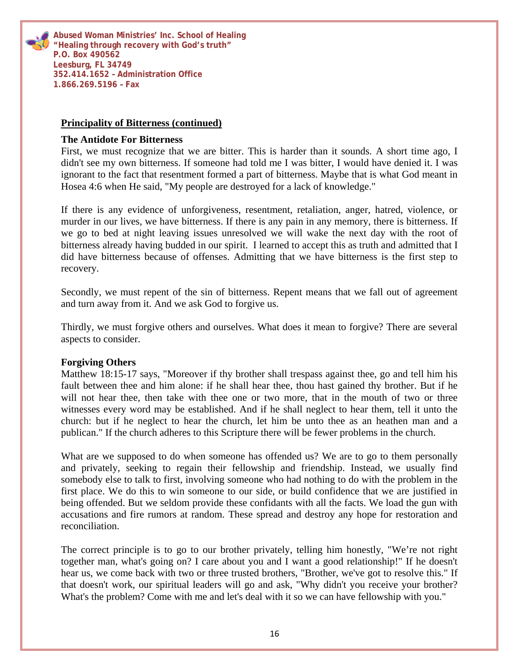

#### **Principality of Bitterness (continued)**

#### **The Antidote For Bitterness**

First, we must recognize that we are bitter. This is harder than it sounds. A short time ago, I didn't see my own bitterness. If someone had told me I was bitter, I would have denied it. I was ignorant to the fact that resentment formed a part of bitterness. Maybe that is what God meant in Hosea 4:6 when He said, "My people are destroyed for a lack of knowledge."

If there is any evidence of unforgiveness, resentment, retaliation, anger, hatred, violence, or murder in our lives, we have bitterness. If there is any pain in any memory, there is bitterness. If we go to bed at night leaving issues unresolved we will wake the next day with the root of bitterness already having budded in our spirit. I learned to accept this as truth and admitted that I did have bitterness because of offenses. Admitting that we have bitterness is the first step to recovery.

Secondly, we must repent of the sin of bitterness. Repent means that we fall out of agreement and turn away from it. And we ask God to forgive us.

Thirdly, we must forgive others and ourselves. What does it mean to forgive? There are several aspects to consider.

#### **Forgiving Others**

Matthew 18:15-17 says, "Moreover if thy brother shall trespass against thee, go and tell him his fault between thee and him alone: if he shall hear thee, thou hast gained thy brother. But if he will not hear thee, then take with thee one or two more, that in the mouth of two or three witnesses every word may be established. And if he shall neglect to hear them, tell it unto the church: but if he neglect to hear the church, let him be unto thee as an heathen man and a publican." If the church adheres to this Scripture there will be fewer problems in the church.

What are we supposed to do when someone has offended us? We are to go to them personally and privately, seeking to regain their fellowship and friendship. Instead, we usually find somebody else to talk to first, involving someone who had nothing to do with the problem in the first place. We do this to win someone to our side, or build confidence that we are justified in being offended. But we seldom provide these confidants with all the facts. We load the gun with accusations and fire rumors at random. These spread and destroy any hope for restoration and reconciliation.

The correct principle is to go to our brother privately, telling him honestly, "We're not right together man, what's going on? I care about you and I want a good relationship!" If he doesn't hear us, we come back with two or three trusted brothers, "Brother, we've got to resolve this." If that doesn't work, our spiritual leaders will go and ask, "Why didn't you receive your brother? What's the problem? Come with me and let's deal with it so we can have fellowship with you."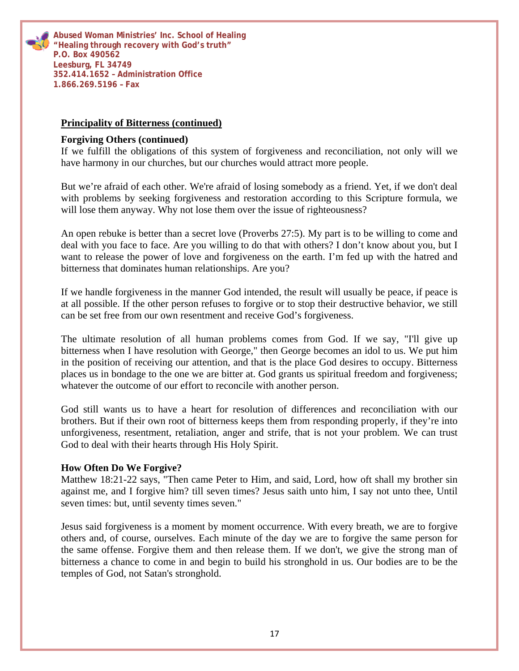

#### **Principality of Bitterness (continued)**

#### **Forgiving Others (continued)**

If we fulfill the obligations of this system of forgiveness and reconciliation, not only will we have harmony in our churches, but our churches would attract more people.

But we're afraid of each other. We're afraid of losing somebody as a friend. Yet, if we don't deal with problems by seeking forgiveness and restoration according to this Scripture formula, we will lose them anyway. Why not lose them over the issue of righteousness?

An open rebuke is better than a secret love (Proverbs 27:5). My part is to be willing to come and deal with you face to face. Are you willing to do that with others? I don't know about you, but I want to release the power of love and forgiveness on the earth. I'm fed up with the hatred and bitterness that dominates human relationships. Are you?

If we handle forgiveness in the manner God intended, the result will usually be peace, if peace is at all possible. If the other person refuses to forgive or to stop their destructive behavior, we still can be set free from our own resentment and receive God's forgiveness.

The ultimate resolution of all human problems comes from God. If we say, "I'll give up bitterness when I have resolution with George," then George becomes an idol to us. We put him in the position of receiving our attention, and that is the place God desires to occupy. Bitterness places us in bondage to the one we are bitter at. God grants us spiritual freedom and forgiveness; whatever the outcome of our effort to reconcile with another person.

God still wants us to have a heart for resolution of differences and reconciliation with our brothers. But if their own root of bitterness keeps them from responding properly, if they're into unforgiveness, resentment, retaliation, anger and strife, that is not your problem. We can trust God to deal with their hearts through His Holy Spirit.

#### **How Often Do We Forgive?**

Matthew 18:21-22 says, "Then came Peter to Him, and said, Lord, how oft shall my brother sin against me, and I forgive him? till seven times? Jesus saith unto him, I say not unto thee, Until seven times: but, until seventy times seven."

Jesus said forgiveness is a moment by moment occurrence. With every breath, we are to forgive others and, of course, ourselves. Each minute of the day we are to forgive the same person for the same offense. Forgive them and then release them. If we don't, we give the strong man of bitterness a chance to come in and begin to build his stronghold in us. Our bodies are to be the temples of God, not Satan's stronghold.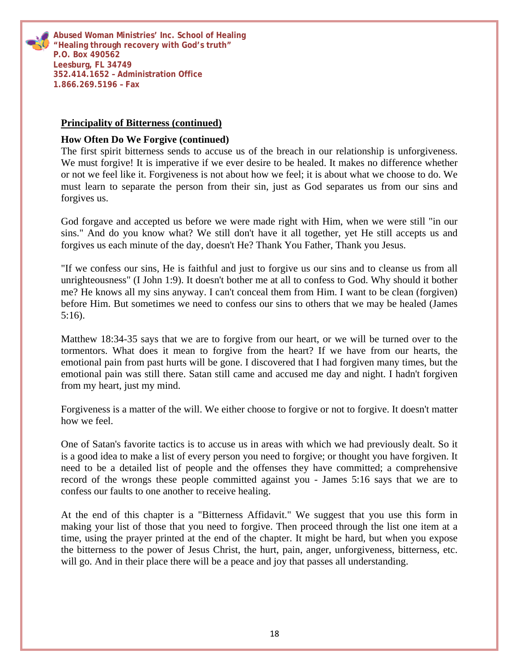

#### **Principality of Bitterness (continued)**

#### **How Often Do We Forgive (continued)**

The first spirit bitterness sends to accuse us of the breach in our relationship is unforgiveness. We must forgive! It is imperative if we ever desire to be healed. It makes no difference whether or not we feel like it. Forgiveness is not about how we feel; it is about what we choose to do. We must learn to separate the person from their sin, just as God separates us from our sins and forgives us.

God forgave and accepted us before we were made right with Him, when we were still "in our sins." And do you know what? We still don't have it all together, yet He still accepts us and forgives us each minute of the day, doesn't He? Thank You Father, Thank you Jesus.

"If we confess our sins, He is faithful and just to forgive us our sins and to cleanse us from all unrighteousness" (I John 1:9). It doesn't bother me at all to confess to God. Why should it bother me? He knows all my sins anyway. I can't conceal them from Him. I want to be clean (forgiven) before Him. But sometimes we need to confess our sins to others that we may be healed (James 5:16).

Matthew 18:34-35 says that we are to forgive from our heart, or we will be turned over to the tormentors. What does it mean to forgive from the heart? If we have from our hearts, the emotional pain from past hurts will be gone. I discovered that I had forgiven many times, but the emotional pain was still there. Satan still came and accused me day and night. I hadn't forgiven from my heart, just my mind.

Forgiveness is a matter of the will. We either choose to forgive or not to forgive. It doesn't matter how we feel.

One of Satan's favorite tactics is to accuse us in areas with which we had previously dealt. So it is a good idea to make a list of every person you need to forgive; or thought you have forgiven. It need to be a detailed list of people and the offenses they have committed; a comprehensive record of the wrongs these people committed against you - James 5:16 says that we are to confess our faults to one another to receive healing.

At the end of this chapter is a "Bitterness Affidavit." We suggest that you use this form in making your list of those that you need to forgive. Then proceed through the list one item at a time, using the prayer printed at the end of the chapter. It might be hard, but when you expose the bitterness to the power of Jesus Christ, the hurt, pain, anger, unforgiveness, bitterness, etc. will go. And in their place there will be a peace and joy that passes all understanding.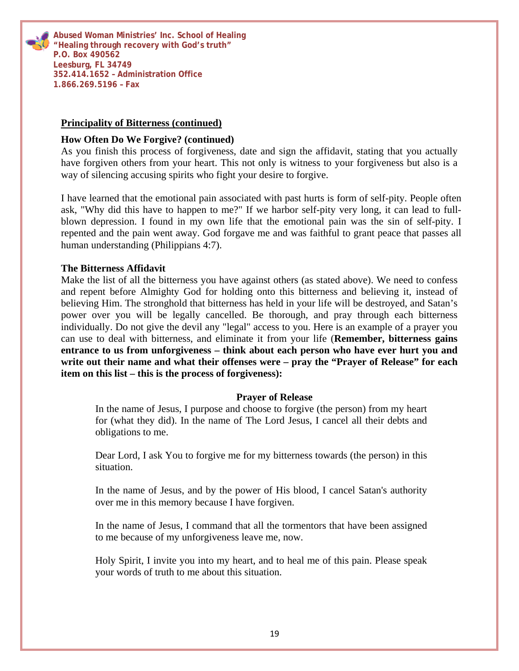

#### **Principality of Bitterness (continued)**

#### **How Often Do We Forgive? (continued)**

As you finish this process of forgiveness, date and sign the affidavit, stating that you actually have forgiven others from your heart. This not only is witness to your forgiveness but also is a way of silencing accusing spirits who fight your desire to forgive.

I have learned that the emotional pain associated with past hurts is form of self-pity. People often ask, "Why did this have to happen to me?" If we harbor self-pity very long, it can lead to fullblown depression. I found in my own life that the emotional pain was the sin of self-pity. I repented and the pain went away. God forgave me and was faithful to grant peace that passes all human understanding (Philippians 4:7).

#### **The Bitterness Affidavit**

Make the list of all the bitterness you have against others (as stated above). We need to confess and repent before Almighty God for holding onto this bitterness and believing it, instead of believing Him. The stronghold that bitterness has held in your life will be destroyed, and Satan's power over you will be legally cancelled. Be thorough, and pray through each bitterness individually. Do not give the devil any "legal" access to you. Here is an example of a prayer you can use to deal with bitterness, and eliminate it from your life (**Remember, bitterness gains entrance to us from unforgiveness – think about each person who have ever hurt you and write out their name and what their offenses were – pray the "Prayer of Release" for each item on this list – this is the process of forgiveness):** 

#### **Prayer of Release**

In the name of Jesus, I purpose and choose to forgive (the person) from my heart for (what they did). In the name of The Lord Jesus, I cancel all their debts and obligations to me.

Dear Lord, I ask You to forgive me for my bitterness towards (the person) in this situation.

In the name of Jesus, and by the power of His blood, I cancel Satan's authority over me in this memory because I have forgiven.

In the name of Jesus, I command that all the tormentors that have been assigned to me because of my unforgiveness leave me, now.

Holy Spirit, I invite you into my heart, and to heal me of this pain. Please speak your words of truth to me about this situation.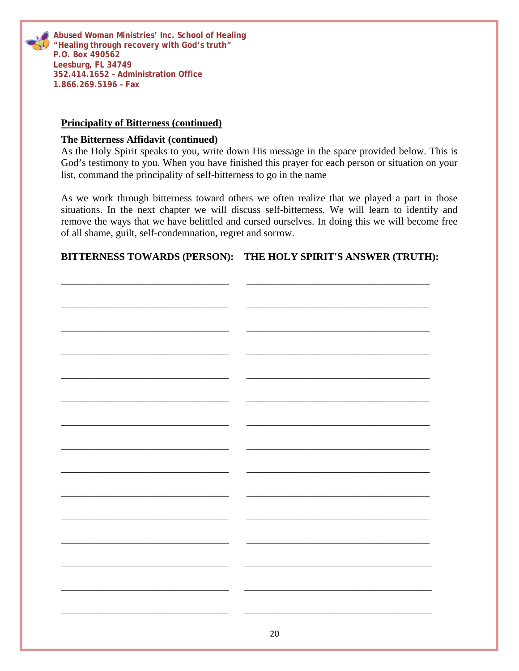

#### **Principality of Bitterness (continued)**

#### **The Bitterness Affidavit (continued)**

As the Holy Spirit speaks to you, write down His message in the space provided below. This is God's testimony to you. When you have finished this prayer for each person or situation on your list, command the principality of self-bitterness to go in the name

As we work through bitterness toward others we often realize that we played a part in those situations. In the next chapter we will discuss self-bitterness. We will learn to identify and remove the ways that we have belittled and cursed ourselves. In doing this we will become free of all shame, guilt, self-condemnation, regret and sorrow.

# **BITTERNESS TOWARDS (PERSON): THE HOLY SPIRIT'S ANSWER (TRUTH):**

| $20\,$ |
|--------|
|        |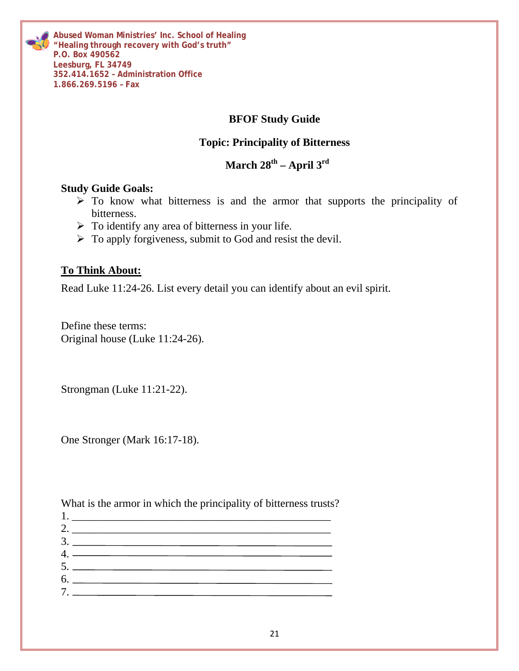

# **BFOF Study Guide**

# **Topic: Principality of Bitterness**

 **March 28th – April 3rd** 

### **Study Guide Goals:**

- $\triangleright$  To know what bitterness is and the armor that supports the principality of bitterness.
- $\triangleright$  To identify any area of bitterness in your life.
- $\triangleright$  To apply forgiveness, submit to God and resist the devil.

# **To Think About:**

Read Luke 11:24-26. List every detail you can identify about an evil spirit.

Define these terms: Original house (Luke 11:24-26).

Strongman (Luke 11:21-22).

One Stronger (Mark 16:17-18).

| What is the armor in which the principality of bitterness trusts?                                                                                                                                                                                                                                                                                                                                                                                                      |
|------------------------------------------------------------------------------------------------------------------------------------------------------------------------------------------------------------------------------------------------------------------------------------------------------------------------------------------------------------------------------------------------------------------------------------------------------------------------|
| $1.$ $\overline{\phantom{a}}$ $\overline{\phantom{a}}$ $\overline{\phantom{a}}$ $\overline{\phantom{a}}$ $\overline{\phantom{a}}$ $\overline{\phantom{a}}$ $\overline{\phantom{a}}$ $\overline{\phantom{a}}$ $\overline{\phantom{a}}$ $\overline{\phantom{a}}$ $\overline{\phantom{a}}$ $\overline{\phantom{a}}$ $\overline{\phantom{a}}$ $\overline{\phantom{a}}$ $\overline{\phantom{a}}$ $\overline{\phantom{a}}$ $\overline{\phantom{a}}$ $\overline{\phantom{a}}$ |
|                                                                                                                                                                                                                                                                                                                                                                                                                                                                        |
|                                                                                                                                                                                                                                                                                                                                                                                                                                                                        |
| $\begin{tabular}{c} $4$. \end{tabular}$                                                                                                                                                                                                                                                                                                                                                                                                                                |
|                                                                                                                                                                                                                                                                                                                                                                                                                                                                        |
|                                                                                                                                                                                                                                                                                                                                                                                                                                                                        |
| $7. \_$                                                                                                                                                                                                                                                                                                                                                                                                                                                                |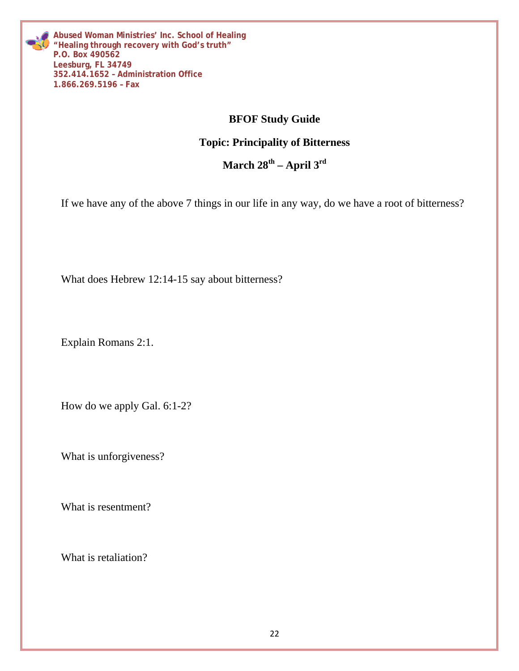

# **BFOF Study Guide**

# **Topic: Principality of Bitterness**

**March 28th – April 3rd**

If we have any of the above 7 things in our life in any way, do we have a root of bitterness?

What does Hebrew 12:14-15 say about bitterness?

Explain Romans 2:1.

How do we apply Gal. 6:1-2?

What is unforgiveness?

What is resentment?

What is retaliation?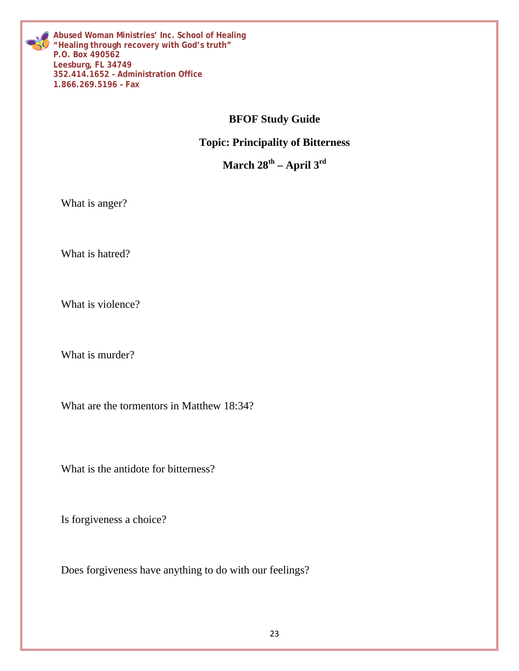

# **BFOF Study Guide**

# **Topic: Principality of Bitterness**

**March 28th – April 3rd**

What is anger?

What is hatred?

What is violence?

What is murder?

What are the tormentors in Matthew 18:34?

What is the antidote for bitterness?

Is forgiveness a choice?

Does forgiveness have anything to do with our feelings?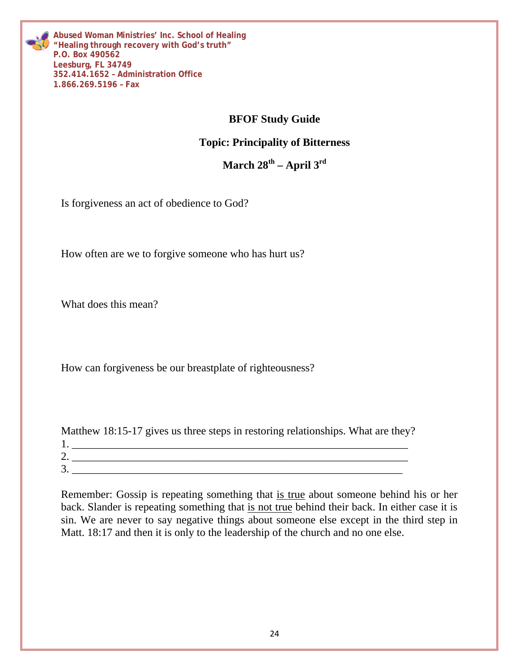# **BFOF Study Guide**

# **Topic: Principality of Bitterness**

**March 28th – April 3rd**

Is forgiveness an act of obedience to God?

How often are we to forgive someone who has hurt us?

What does this mean?

How can forgiveness be our breastplate of righteousness?

| Matthew 18:15-17 gives us three steps in restoring relationships. What are they? |  |
|----------------------------------------------------------------------------------|--|
|                                                                                  |  |
|                                                                                  |  |
|                                                                                  |  |

Remember: Gossip is repeating something that is true about someone behind his or her back. Slander is repeating something that is not true behind their back. In either case it is sin. We are never to say negative things about someone else except in the third step in Matt. 18:17 and then it is only to the leadership of the church and no one else.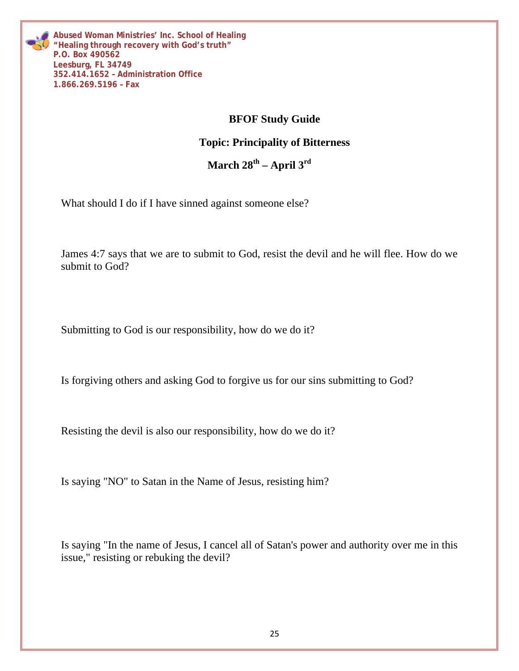# **BFOF Study Guide**

# **Topic: Principality of Bitterness**

**March 28th – April 3rd**

What should I do if I have sinned against someone else?

James 4:7 says that we are to submit to God, resist the devil and he will flee. How do we submit to God?

Submitting to God is our responsibility, how do we do it?

Is forgiving others and asking God to forgive us for our sins submitting to God?

Resisting the devil is also our responsibility, how do we do it?

Is saying "NO" to Satan in the Name of Jesus, resisting him?

Is saying "In the name of Jesus, I cancel all of Satan's power and authority over me in this issue," resisting or rebuking the devil?